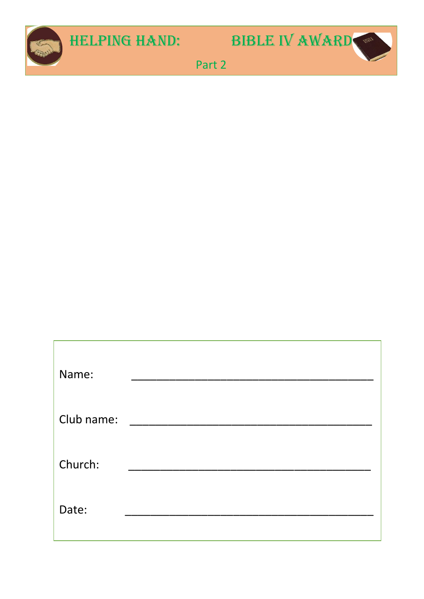



Part 2

| Name:      |  |  |  |
|------------|--|--|--|
| Club name: |  |  |  |
| Church:    |  |  |  |
| Date:      |  |  |  |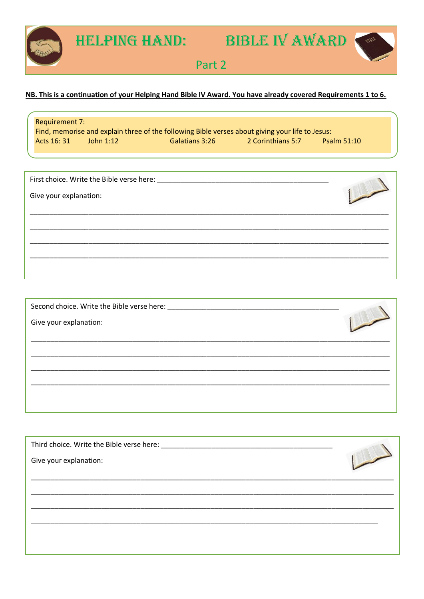

Hight



## NB. This is a continuation of your Helping Hand Bible IV Award. You have already covered Requirements 1 to 6.

| <b>Requirement 7:</b> |             |                                                                                                 |                   |                    |
|-----------------------|-------------|-------------------------------------------------------------------------------------------------|-------------------|--------------------|
|                       |             | Find, memorise and explain three of the following Bible verses about giving your life to Jesus: |                   |                    |
| Acts 16: 31           | John $1:12$ | Galatians 3:26                                                                                  | 2 Corinthians 5:7 | <b>Psalm 51:10</b> |

| Give your explanation: |  |
|------------------------|--|
|                        |  |
|                        |  |
|                        |  |
|                        |  |
|                        |  |
|                        |  |

| Give your explanation: |  |
|------------------------|--|
|                        |  |
|                        |  |
|                        |  |
|                        |  |
|                        |  |
|                        |  |

| Third choice. Write the Bible verse here: Third choice. Write the Bible verse here:<br>Give your explanation: |  |
|---------------------------------------------------------------------------------------------------------------|--|
|                                                                                                               |  |
|                                                                                                               |  |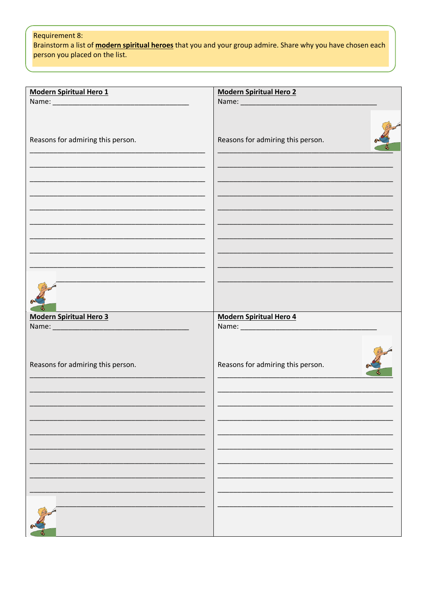Requirement 8:

Brainstorm a list of **modern spiritual heroes** that you and your group admire. Share why you have chosen each person you placed on the list.

| <b>Modern Spiritual Hero 1</b>    | <b>Modern Spiritual Hero 2</b>                                                                                                                                                                                                 |
|-----------------------------------|--------------------------------------------------------------------------------------------------------------------------------------------------------------------------------------------------------------------------------|
|                                   |                                                                                                                                                                                                                                |
| Reasons for admiring this person. | Reasons for admiring this person.                                                                                                                                                                                              |
|                                   |                                                                                                                                                                                                                                |
|                                   |                                                                                                                                                                                                                                |
|                                   |                                                                                                                                                                                                                                |
|                                   |                                                                                                                                                                                                                                |
|                                   |                                                                                                                                                                                                                                |
|                                   |                                                                                                                                                                                                                                |
|                                   |                                                                                                                                                                                                                                |
|                                   |                                                                                                                                                                                                                                |
|                                   |                                                                                                                                                                                                                                |
|                                   |                                                                                                                                                                                                                                |
|                                   |                                                                                                                                                                                                                                |
|                                   |                                                                                                                                                                                                                                |
|                                   |                                                                                                                                                                                                                                |
| <b>Modern Spiritual Hero 3</b>    | <b>Modern Spiritual Hero 4</b>                                                                                                                                                                                                 |
|                                   |                                                                                                                                                                                                                                |
|                                   |                                                                                                                                                                                                                                |
|                                   | Name: Name and the state of the state of the state of the state of the state of the state of the state of the state of the state of the state of the state of the state of the state of the state of the state of the state of |
| Reasons for admiring this person. | Reasons for admiring this person.                                                                                                                                                                                              |
|                                   |                                                                                                                                                                                                                                |
|                                   |                                                                                                                                                                                                                                |
|                                   |                                                                                                                                                                                                                                |
|                                   |                                                                                                                                                                                                                                |
|                                   |                                                                                                                                                                                                                                |
|                                   |                                                                                                                                                                                                                                |
|                                   |                                                                                                                                                                                                                                |
|                                   |                                                                                                                                                                                                                                |
|                                   |                                                                                                                                                                                                                                |
|                                   |                                                                                                                                                                                                                                |
|                                   |                                                                                                                                                                                                                                |
|                                   |                                                                                                                                                                                                                                |